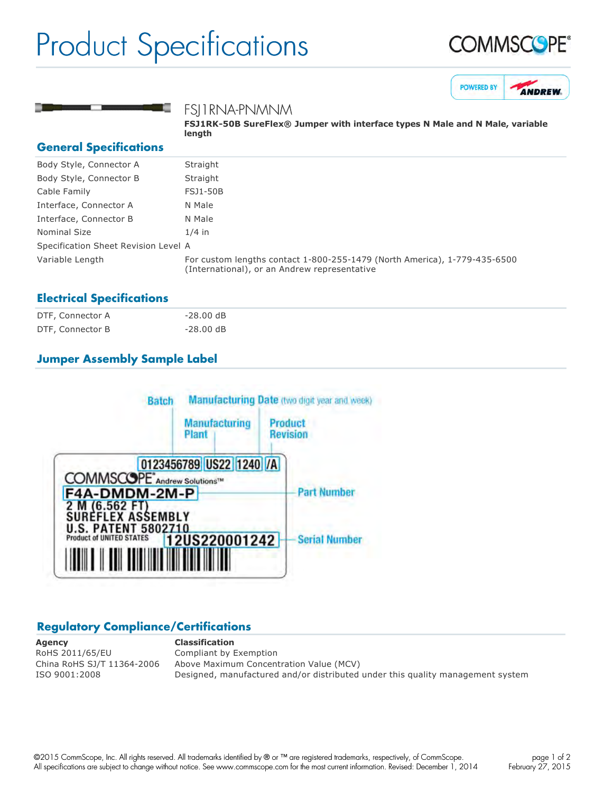# Product Specifications







FSJ1RNA-PNMNM

**FSJ1RK-50B SureFlex® Jumper with interface types N Male and N Male, variable length**

### **General Specifications**

| Body Style, Connector A              | Straight                                                                                                                  |
|--------------------------------------|---------------------------------------------------------------------------------------------------------------------------|
| Body Style, Connector B              | Straight                                                                                                                  |
| Cable Family                         | <b>FSJ1-50B</b>                                                                                                           |
| Interface, Connector A               | N Male                                                                                                                    |
| Interface, Connector B               | N Male                                                                                                                    |
| <b>Nominal Size</b>                  | $1/4$ in                                                                                                                  |
| Specification Sheet Revision Level A |                                                                                                                           |
| Variable Length                      | For custom lengths contact 1-800-255-1479 (North America), 1-779-435-6500<br>(International), or an Andrew representative |

#### **Electrical Specifications**

| DTF, Connector A | $-28.00$ dB |
|------------------|-------------|
| DTF, Connector B | $-28.00$ dB |

# **Jumper Assembly Sample Label**



## **Regulatory Compliance/Certifications**

**Agency Classification** RoHS 2011/65/EU Compliant by Exemption

China RoHS SJ/T 11364-2006 Above Maximum Concentration Value (MCV) ISO 9001:2008 Designed, manufactured and/or distributed under this quality management system